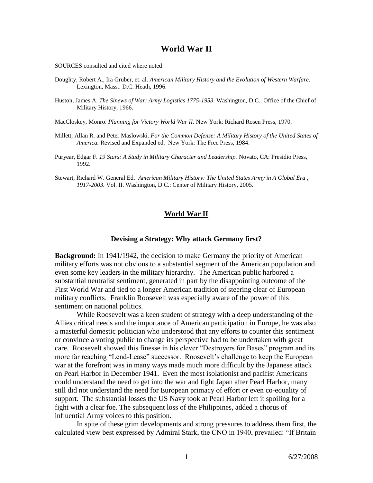# **World War II**

SOURCES consulted and cited where noted:

- Doughty, Robert A., Ira Gruber, et. al. *American Military History and the Evolution of Western Warfare.*  Lexington, Mass.: D.C. Heath, 1996.
- Huston, James A. *The Sinews of War: Army Logistics 1775-1953.* Washington, D.C.: Office of the Chief of Military History, 1966.

MacCloskey, Monro. *Planning for Victory World War II.* New York: Richard Rosen Press, 1970.

- Millett, Allan R. and Peter Maslowski. *For the Common Defense: A Military History of the United States of America.* Revised and Expanded ed. New York: The Free Press, 1984.
- Puryear, Edgar F. *19 Stars: A Study in Military Character and Leadership.* Novato, CA: Presidio Press, 1992.
- Stewart, Richard W. General Ed. *American Military History: The United States Army in A Global Era , 1917-2003.* Vol. II. Washington, D.C.: Center of Military History, 2005.

### **World War II**

#### **Devising a Strategy: Why attack Germany first?**

**Background:** In 1941/1942, the decision to make Germany the priority of American military efforts was not obvious to a substantial segment of the American population and even some key leaders in the military hierarchy. The American public harbored a substantial neutralist sentiment, generated in part by the disappointing outcome of the First World War and tied to a longer American tradition of steering clear of European military conflicts. Franklin Roosevelt was especially aware of the power of this sentiment on national politics.

While Roosevelt was a keen student of strategy with a deep understanding of the Allies critical needs and the importance of American participation in Europe, he was also a masterful domestic politician who understood that any efforts to counter this sentiment or convince a voting public to change its perspective had to be undertaken with great care. Roosevelt showed this finesse in his clever "Destroyers for Bases" program and its more far reaching "Lend-Lease" successor. Roosevelt's challenge to keep the European war at the forefront was in many ways made much more difficult by the Japanese attack on Pearl Harbor in December 1941. Even the most isolationist and pacifist Americans could understand the need to get into the war and fight Japan after Pearl Harbor, many still did not understand the need for European primacy of effort or even co-equality of support. The substantial losses the US Navy took at Pearl Harbor left it spoiling for a fight with a clear foe. The subsequent loss of the Philippines, added a chorus of influential Army voices to this position.

In spite of these grim developments and strong pressures to address them first, the calculated view best expressed by Admiral Stark, the CNO in 1940, prevailed: "If Britain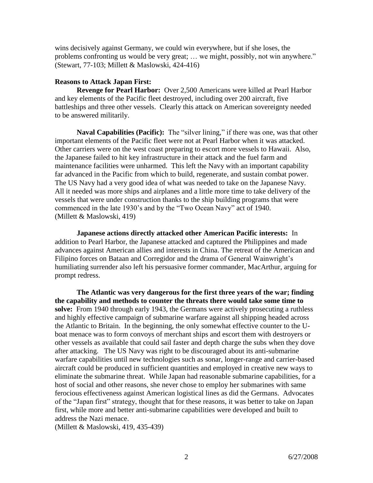wins decisively against Germany, we could win everywhere, but if she loses, the problems confronting us would be very great; … we might, possibly, not win anywhere." (Stewart, 77-103; Millett & Maslowski, 424-416)

### **Reasons to Attack Japan First:**

**Revenge for Pearl Harbor:** Over 2,500 Americans were killed at Pearl Harbor and key elements of the Pacific fleet destroyed, including over 200 aircraft, five battleships and three other vessels. Clearly this attack on American sovereignty needed to be answered militarily.

**Naval Capabilities (Pacific):** The "silver lining," if there was one, was that other important elements of the Pacific fleet were not at Pearl Harbor when it was attacked. Other carriers were on the west coast preparing to escort more vessels to Hawaii. Also, the Japanese failed to hit key infrastructure in their attack and the fuel farm and maintenance facilities were unharmed. This left the Navy with an important capability far advanced in the Pacific from which to build, regenerate, and sustain combat power. The US Navy had a very good idea of what was needed to take on the Japanese Navy. All it needed was more ships and airplanes and a little more time to take delivery of the vessels that were under construction thanks to the ship building programs that were commenced in the late 1930's and by the "Two Ocean Navy" act of 1940. (Millett & Maslowski, 419)

**Japanese actions directly attacked other American Pacific interests:** In addition to Pearl Harbor, the Japanese attacked and captured the Philippines and made advances against American allies and interests in China. The retreat of the American and Filipino forces on Bataan and Corregidor and the drama of General Wainwright's humiliating surrender also left his persuasive former commander, MacArthur, arguing for prompt redress.

**The Atlantic was very dangerous for the first three years of the war; finding the capability and methods to counter the threats there would take some time to solve:** From 1940 through early 1943, the Germans were actively prosecuting a ruthless and highly effective campaign of submarine warfare against all shipping headed across the Atlantic to Britain. In the beginning, the only somewhat effective counter to the Uboat menace was to form convoys of merchant ships and escort them with destroyers or other vessels as available that could sail faster and depth charge the subs when they dove after attacking. The US Navy was right to be discouraged about its anti-submarine warfare capabilities until new technologies such as sonar, longer-range and carrier-based aircraft could be produced in sufficient quantities and employed in creative new ways to eliminate the submarine threat. While Japan had reasonable submarine capabilities, for a host of social and other reasons, she never chose to employ her submarines with same ferocious effectiveness against American logistical lines as did the Germans. Advocates of the "Japan first" strategy, thought that for these reasons, it was better to take on Japan first, while more and better anti-submarine capabilities were developed and built to address the Nazi menace.

(Millett & Maslowski, 419, 435-439)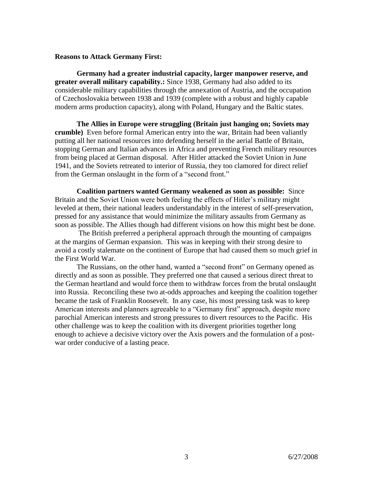### **Reasons to Attack Germany First:**

**Germany had a greater industrial capacity, larger manpower reserve, and greater overall military capability.:** Since 1938, Germany had also added to its considerable military capabilities through the annexation of Austria, and the occupation of Czechoslovakia between 1938 and 1939 (complete with a robust and highly capable modern arms production capacity), along with Poland, Hungary and the Baltic states.

**The Allies in Europe were struggling (Britain just hanging on; Soviets may crumble)** Even before formal American entry into the war, Britain had been valiantly putting all her national resources into defending herself in the aerial Battle of Britain, stopping German and Italian advances in Africa and preventing French military resources from being placed at German disposal. After Hitler attacked the Soviet Union in June 1941, and the Soviets retreated to interior of Russia, they too clamored for direct relief from the German onslaught in the form of a "second front."

**Coalition partners wanted Germany weakened as soon as possible:** Since Britain and the Soviet Union were both feeling the effects of Hitler's military might leveled at them, their national leaders understandably in the interest of self-preservation, pressed for any assistance that would minimize the military assaults from Germany as soon as possible. The Allies though had different visions on how this might best be done.

The British preferred a peripheral approach through the mounting of campaigns at the margins of German expansion. This was in keeping with their strong desire to avoid a costly stalemate on the continent of Europe that had caused them so much grief in the First World War.

The Russians, on the other hand, wanted a "second front" on Germany opened as directly and as soon as possible. They preferred one that caused a serious direct threat to the German heartland and would force them to withdraw forces from the brutal onslaught into Russia. Reconciling these two at-odds approaches and keeping the coalition together became the task of Franklin Roosevelt. In any case, his most pressing task was to keep American interests and planners agreeable to a "Germany first" approach, despite more parochial American interests and strong pressures to divert resources to the Pacific. His other challenge was to keep the coalition with its divergent priorities together long enough to achieve a decisive victory over the Axis powers and the formulation of a postwar order conducive of a lasting peace.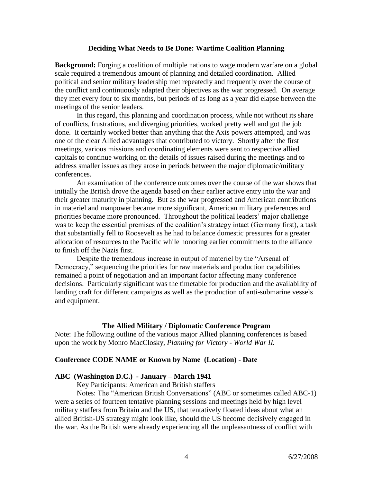### **Deciding What Needs to Be Done: Wartime Coalition Planning**

**Background:** Forging a coalition of multiple nations to wage modern warfare on a global scale required a tremendous amount of planning and detailed coordination. Allied political and senior military leadership met repeatedly and frequently over the course of the conflict and continuously adapted their objectives as the war progressed. On average they met every four to six months, but periods of as long as a year did elapse between the meetings of the senior leaders.

In this regard, this planning and coordination process, while not without its share of conflicts, frustrations, and diverging priorities, worked pretty well and got the job done. It certainly worked better than anything that the Axis powers attempted, and was one of the clear Allied advantages that contributed to victory. Shortly after the first meetings, various missions and coordinating elements were sent to respective allied capitals to continue working on the details of issues raised during the meetings and to address smaller issues as they arose in periods between the major diplomatic/military conferences.

An examination of the conference outcomes over the course of the war shows that initially the British drove the agenda based on their earlier active entry into the war and their greater maturity in planning. But as the war progressed and American contributions in materiel and manpower became more significant, American military preferences and priorities became more pronounced. Throughout the political leaders' major challenge was to keep the essential premises of the coalition's strategy intact (Germany first), a task that substantially fell to Roosevelt as he had to balance domestic pressures for a greater allocation of resources to the Pacific while honoring earlier commitments to the alliance to finish off the Nazis first.

Despite the tremendous increase in output of materiel by the "Arsenal of Democracy," sequencing the priorities for raw materials and production capabilities remained a point of negotiation and an important factor affecting many conference decisions. Particularly significant was the timetable for production and the availability of landing craft for different campaigns as well as the production of anti-submarine vessels and equipment.

## **The Allied Military / Diplomatic Conference Program**

Note: The following outline of the various major Allied planning conferences is based upon the work by Monro MacClosky, *Planning for Victory - World War II.* 

## **Conference CODE NAME or Known by Name (Location) - Date**

## **ABC (Washington D.C.) - January – March 1941**

Key Participants: American and British staffers

Notes: The "American British Conversations" (ABC or sometimes called ABC-1) were a series of fourteen tentative planning sessions and meetings held by high level military staffers from Britain and the US, that tentatively floated ideas about what an allied British-US strategy might look like, should the US become decisively engaged in the war. As the British were already experiencing all the unpleasantness of conflict with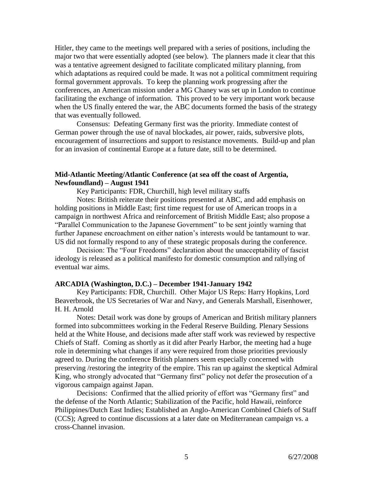Hitler, they came to the meetings well prepared with a series of positions, including the major two that were essentially adopted (see below). The planners made it clear that this was a tentative agreement designed to facilitate complicated military planning, from which adaptations as required could be made. It was not a political commitment requiring formal government approvals. To keep the planning work progressing after the conferences, an American mission under a MG Chaney was set up in London to continue facilitating the exchange of information. This proved to be very important work because when the US finally entered the war, the ABC documents formed the basis of the strategy that was eventually followed.

Consensus: Defeating Germany first was the priority. Immediate contest of German power through the use of naval blockades, air power, raids, subversive plots, encouragement of insurrections and support to resistance movements. Build-up and plan for an invasion of continental Europe at a future date, still to be determined.

## **Mid-Atlantic Meeting/Atlantic Conference (at sea off the coast of Argentia, Newfoundland) – August 1941**

Key Participants: FDR, Churchill, high level military staffs

Notes: British reiterate their positions presented at ABC, and add emphasis on holding positions in Middle East; first time request for use of American troops in a campaign in northwest Africa and reinforcement of British Middle East; also propose a "Parallel Communication to the Japanese Government" to be sent jointly warning that further Japanese encroachment on either nation's interests would be tantamount to war. US did not formally respond to any of these strategic proposals during the conference.

Decision: The "Four Freedoms" declaration about the unacceptability of fascist ideology is released as a political manifesto for domestic consumption and rallying of eventual war aims.

#### **ARCADIA (Washington, D.C.) – December 1941-January 1942**

Key Participants: FDR, Churchill. Other Major US Reps: Harry Hopkins, Lord Beaverbrook, the US Secretaries of War and Navy, and Generals Marshall, Eisenhower, H. H. Arnold

Notes: Detail work was done by groups of American and British military planners formed into subcommittees working in the Federal Reserve Building. Plenary Sessions held at the White House, and decisions made after staff work was reviewed by respective Chiefs of Staff. Coming as shortly as it did after Pearly Harbor, the meeting had a huge role in determining what changes if any were required from those priorities previously agreed to. During the conference British planners seem especially concerned with preserving /restoring the integrity of the empire. This ran up against the skeptical Admiral King, who strongly advocated that "Germany first" policy not defer the prosecution of a vigorous campaign against Japan.

Decisions: Confirmed that the allied priority of effort was "Germany first" and the defense of the North Atlantic; Stabilization of the Pacific, hold Hawaii, reinforce Philippines/Dutch East Indies; Established an Anglo-American Combined Chiefs of Staff (CCS); Agreed to continue discussions at a later date on Mediterranean campaign vs. a cross-Channel invasion.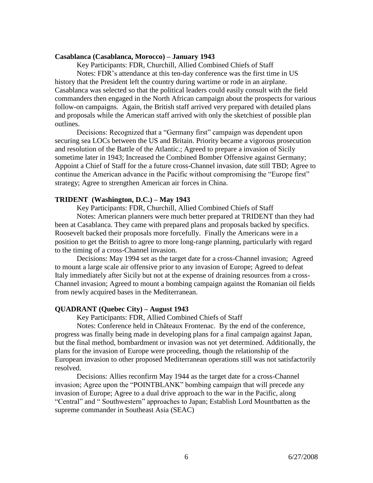### **Casablanca (Casablanca, Morocco) – January 1943**

Key Participants: FDR, Churchill, Allied Combined Chiefs of Staff Notes: FDR's attendance at this ten-day conference was the first time in US history that the President left the country during wartime or rode in an airplane. Casablanca was selected so that the political leaders could easily consult with the field commanders then engaged in the North African campaign about the prospects for various follow-on campaigns. Again, the British staff arrived very prepared with detailed plans and proposals while the American staff arrived with only the sketchiest of possible plan outlines.

Decisions: Recognized that a "Germany first" campaign was dependent upon securing sea LOCs between the US and Britain. Priority became a vigorous prosecution and resolution of the Battle of the Atlantic.; Agreed to prepare a invasion of Sicily sometime later in 1943; Increased the Combined Bomber Offensive against Germany; Appoint a Chief of Staff for the a future cross-Channel invasion, date still TBD; Agree to continue the American advance in the Pacific without compromising the "Europe first" strategy; Agree to strengthen American air forces in China.

## **TRIDENT (Washington, D.C.) – May 1943**

Key Participants: FDR, Churchill, Allied Combined Chiefs of Staff

Notes: American planners were much better prepared at TRIDENT than they had been at Casablanca. They came with prepared plans and proposals backed by specifics. Roosevelt backed their proposals more forcefully. Finally the Americans were in a position to get the British to agree to more long-range planning, particularly with regard to the timing of a cross-Channel invasion.

 Decisions: May 1994 set as the target date for a cross-Channel invasion; Agreed to mount a large scale air offensive prior to any invasion of Europe; Agreed to defeat Italy immediately after Sicily but not at the expense of draining resources from a cross-Channel invasion; Agreed to mount a bombing campaign against the Romanian oil fields from newly acquired bases in the Mediterranean.

## **QUADRANT (Quebec City) – August 1943**

Key Participants: FDR, Allied Combined Chiefs of Staff

Notes: Conference held in Châteaux Frontenac. By the end of the conference, progress was finally being made in developing plans for a final campaign against Japan, but the final method, bombardment or invasion was not yet determined. Additionally, the plans for the invasion of Europe were proceeding, though the relationship of the European invasion to other proposed Mediterranean operations still was not satisfactorily resolved.

Decisions: Allies reconfirm May 1944 as the target date for a cross-Channel invasion; Agree upon the "POINTBLANK" bombing campaign that will precede any invasion of Europe; Agree to a dual drive approach to the war in the Pacific, along "Central" and " Southwestern" approaches to Japan; Establish Lord Mountbatten as the supreme commander in Southeast Asia (SEAC)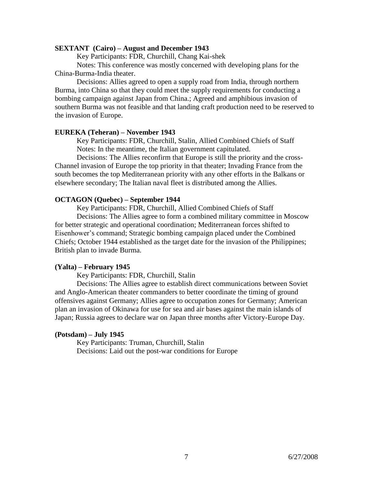#### **SEXTANT (Cairo) – August and December 1943**

Key Participants: FDR, Churchill, Chang Kai-shek

Notes: This conference was mostly concerned with developing plans for the China-Burma-India theater.

Decisions: Allies agreed to open a supply road from India, through northern Burma, into China so that they could meet the supply requirements for conducting a bombing campaign against Japan from China.; Agreed and amphibious invasion of southern Burma was not feasible and that landing craft production need to be reserved to the invasion of Europe.

#### **EUREKA (Teheran) – November 1943**

Key Participants: FDR, Churchill, Stalin, Allied Combined Chiefs of Staff Notes: In the meantime, the Italian government capitulated.

Decisions: The Allies reconfirm that Europe is still the priority and the cross-Channel invasion of Europe the top priority in that theater; Invading France from the south becomes the top Mediterranean priority with any other efforts in the Balkans or elsewhere secondary; The Italian naval fleet is distributed among the Allies.

#### **OCTAGON (Quebec) – September 1944**

Key Participants: FDR, Churchill, Allied Combined Chiefs of Staff Decisions: The Allies agree to form a combined military committee in Moscow for better strategic and operational coordination; Mediterranean forces shifted to Eisenhower's command; Strategic bombing campaign placed under the Combined Chiefs; October 1944 established as the target date for the invasion of the Philippines; British plan to invade Burma.

### **(Yalta) – February 1945**

Key Participants: FDR, Churchill, Stalin

Decisions: The Allies agree to establish direct communications between Soviet and Anglo-American theater commanders to better coordinate the timing of ground offensives against Germany; Allies agree to occupation zones for Germany; American plan an invasion of Okinawa for use for sea and air bases against the main islands of Japan; Russia agrees to declare war on Japan three months after Victory-Europe Day.

### **(Potsdam) – July 1945**

Key Participants: Truman, Churchill, Stalin Decisions: Laid out the post-war conditions for Europe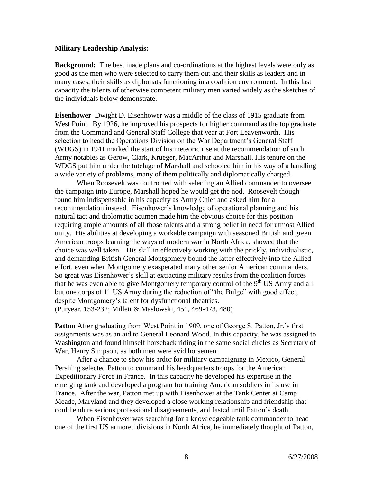### **Military Leadership Analysis:**

**Background:** The best made plans and co-ordinations at the highest levels were only as good as the men who were selected to carry them out and their skills as leaders and in many cases, their skills as diplomats functioning in a coalition environment. In this last capacity the talents of otherwise competent military men varied widely as the sketches of the individuals below demonstrate.

**Eisenhower** Dwight D. Eisenhower was a middle of the class of 1915 graduate from West Point. By 1926, he improved his prospects for higher command as the top graduate from the Command and General Staff College that year at Fort Leavenworth. His selection to head the Operations Division on the War Department's General Staff (WDGS) in 1941 marked the start of his meteoric rise at the recommendation of such Army notables as Gerow, Clark, Krueger, MacArthur and Marshall. His tenure on the WDGS put him under the tutelage of Marshall and schooled him in his way of a handling a wide variety of problems, many of them politically and diplomatically charged.

When Roosevelt was confronted with selecting an Allied commander to oversee the campaign into Europe, Marshall hoped he would get the nod. Roosevelt though found him indispensable in his capacity as Army Chief and asked him for a recommendation instead. Eisenhower's knowledge of operational planning and his natural tact and diplomatic acumen made him the obvious choice for this position requiring ample amounts of all those talents and a strong belief in need for utmost Allied unity. His abilities at developing a workable campaign with seasoned British and green American troops learning the ways of modern war in North Africa, showed that the choice was well taken. His skill in effectively working with the prickly, individualistic, and demanding British General Montgomery bound the latter effectively into the Allied effort, even when Montgomery exasperated many other senior American commanders. So great was Eisenhower's skill at extracting military results from the coalition forces that he was even able to give Montgomery temporary control of the  $9<sup>th</sup> US Army and all$ but one corps of  $1<sup>st</sup> US Army during the reduction of "the Bulge" with good effect,$ despite Montgomery's talent for dysfunctional theatrics. (Puryear, 153-232; Millett & Maslowski, 451, 469-473, 480)

**Patton** After graduating from West Point in 1909, one of George S. Patton, Jr.'s first assignments was as an aid to General Leonard Wood. In this capacity, he was assigned to Washington and found himself horseback riding in the same social circles as Secretary of War, Henry Simpson, as both men were avid horsemen.

After a chance to show his ardor for military campaigning in Mexico, General Pershing selected Patton to command his headquarters troops for the American Expeditionary Force in France. In this capacity he developed his expertise in the emerging tank and developed a program for training American soldiers in its use in France. After the war, Patton met up with Eisenhower at the Tank Center at Camp Meade, Maryland and they developed a close working relationship and friendship that could endure serious professional disagreements, and lasted until Patton's death.

When Eisenhower was searching for a knowledgeable tank commander to head one of the first US armored divisions in North Africa, he immediately thought of Patton,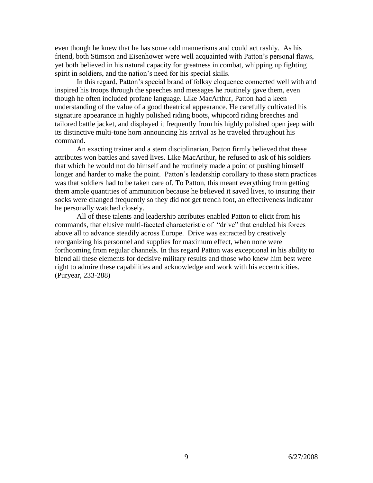even though he knew that he has some odd mannerisms and could act rashly. As his friend, both Stimson and Eisenhower were well acquainted with Patton's personal flaws, yet both believed in his natural capacity for greatness in combat, whipping up fighting spirit in soldiers, and the nation's need for his special skills.

In this regard, Patton's special brand of folksy eloquence connected well with and inspired his troops through the speeches and messages he routinely gave them, even though he often included profane language. Like MacArthur, Patton had a keen understanding of the value of a good theatrical appearance. He carefully cultivated his signature appearance in highly polished riding boots, whipcord riding breeches and tailored battle jacket, and displayed it frequently from his highly polished open jeep with its distinctive multi-tone horn announcing his arrival as he traveled throughout his command.

An exacting trainer and a stern disciplinarian, Patton firmly believed that these attributes won battles and saved lives. Like MacArthur, he refused to ask of his soldiers that which he would not do himself and he routinely made a point of pushing himself longer and harder to make the point. Patton's leadership corollary to these stern practices was that soldiers had to be taken care of. To Patton, this meant everything from getting them ample quantities of ammunition because he believed it saved lives, to insuring their socks were changed frequently so they did not get trench foot, an effectiveness indicator he personally watched closely.

All of these talents and leadership attributes enabled Patton to elicit from his commands, that elusive multi-faceted characteristic of "drive" that enabled his forces above all to advance steadily across Europe. Drive was extracted by creatively reorganizing his personnel and supplies for maximum effect, when none were forthcoming from regular channels. In this regard Patton was exceptional in his ability to blend all these elements for decisive military results and those who knew him best were right to admire these capabilities and acknowledge and work with his eccentricities. (Puryear, 233-288)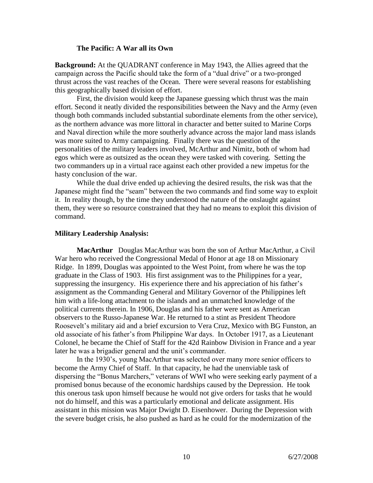### **The Pacific: A War all its Own**

**Background:** At the QUADRANT conference in May 1943, the Allies agreed that the campaign across the Pacific should take the form of a "dual drive" or a two-pronged thrust across the vast reaches of the Ocean. There were several reasons for establishing this geographically based division of effort.

First, the division would keep the Japanese guessing which thrust was the main effort. Second it neatly divided the responsibilities between the Navy and the Army (even though both commands included substantial subordinate elements from the other service), as the northern advance was more littoral in character and better suited to Marine Corps and Naval direction while the more southerly advance across the major land mass islands was more suited to Army campaigning. Finally there was the question of the personalities of the military leaders involved, McArthur and Nimitz, both of whom had egos which were as outsized as the ocean they were tasked with covering. Setting the two commanders up in a virtual race against each other provided a new impetus for the hasty conclusion of the war.

While the dual drive ended up achieving the desired results, the risk was that the Japanese might find the "seam" between the two commands and find some way to exploit it. In reality though, by the time they understood the nature of the onslaught against them, they were so resource constrained that they had no means to exploit this division of command.

### **Military Leadership Analysis:**

**MacArthur** Douglas MacArthur was born the son of Arthur MacArthur, a Civil War hero who received the Congressional Medal of Honor at age 18 on Missionary Ridge. In 1899, Douglas was appointed to the West Point, from where he was the top graduate in the Class of 1903. His first assignment was to the Philippines for a year, suppressing the insurgency. His experience there and his appreciation of his father's assignment as the Commanding General and Military Governor of the Philippines left him with a life-long attachment to the islands and an unmatched knowledge of the political currents therein. In 1906, Douglas and his father were sent as American observers to the Russo-Japanese War. He returned to a stint as President Theodore Roosevelt's military aid and a brief excursion to Vera Cruz, Mexico with BG Funston, an old associate of his father's from Philippine War days. In October 1917, as a Lieutenant Colonel, he became the Chief of Staff for the 42d Rainbow Division in France and a year later he was a brigadier general and the unit's commander.

In the 1930's, young MacArthur was selected over many more senior officers to become the Army Chief of Staff. In that capacity, he had the unenviable task of dispersing the "Bonus Marchers," veterans of WWI who were seeking early payment of a promised bonus because of the economic hardships caused by the Depression. He took this onerous task upon himself because he would not give orders for tasks that he would not do himself, and this was a particularly emotional and delicate assignment. His assistant in this mission was Major Dwight D. Eisenhower. During the Depression with the severe budget crisis, he also pushed as hard as he could for the modernization of the